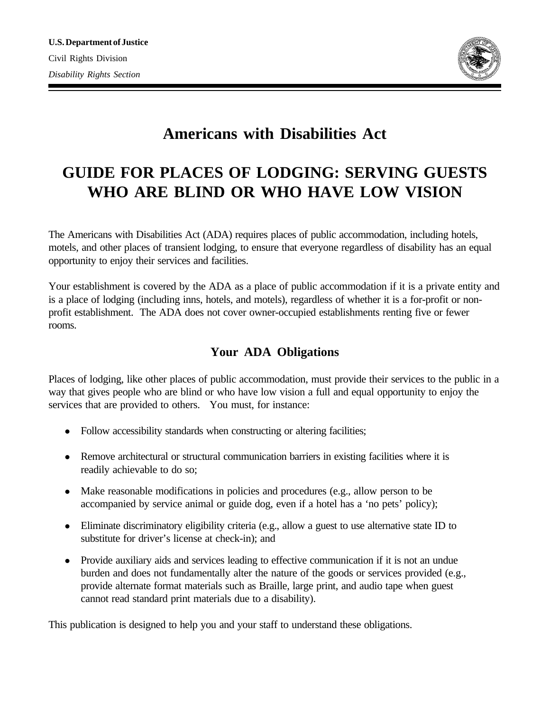

# **Americans with Disabilities Act**

# **GUIDE FOR PLACES OF LODGING: SERVING GUESTS WHO ARE BLIND OR WHO HAVE LOW VISION**

The Americans with Disabilities Act (ADA) requires places of public accommodation, including hotels, motels, and other places of transient lodging, to ensure that everyone regardless of disability has an equal opportunity to enjoy their services and facilities.

Your establishment is covered by the ADA as a place of public accommodation if it is a private entity and is a place of lodging (including inns, hotels, and motels), regardless of whether it is a for-profit or nonprofit establishment. The ADA does not cover owner-occupied establishments renting five or fewer rooms.

## **Your ADA Obligations**

Places of lodging, like other places of public accommodation, must provide their services to the public in a way that gives people who are blind or who have low vision a full and equal opportunity to enjoy the services that are provided to others. You must, for instance:

- Follow accessibility standards when constructing or altering facilities;
- Remove architectural or structural communication barriers in existing facilities where it is readily achievable to do so;
- Make reasonable modifications in policies and procedures (e.g., allow person to be accompanied by service animal or guide dog, even if a hotel has a 'no pets' policy);
- Eliminate discriminatory eligibility criteria (e.g., allow a guest to use alternative state ID to substitute for driver's license at check-in); and
- Provide auxiliary aids and services leading to effective communication if it is not an undue burden and does not fundamentally alter the nature of the goods or services provided (e.g., provide alternate format materials such as Braille, large print, and audio tape when guest cannot read standard print materials due to a disability).

This publication is designed to help you and your staff to understand these obligations.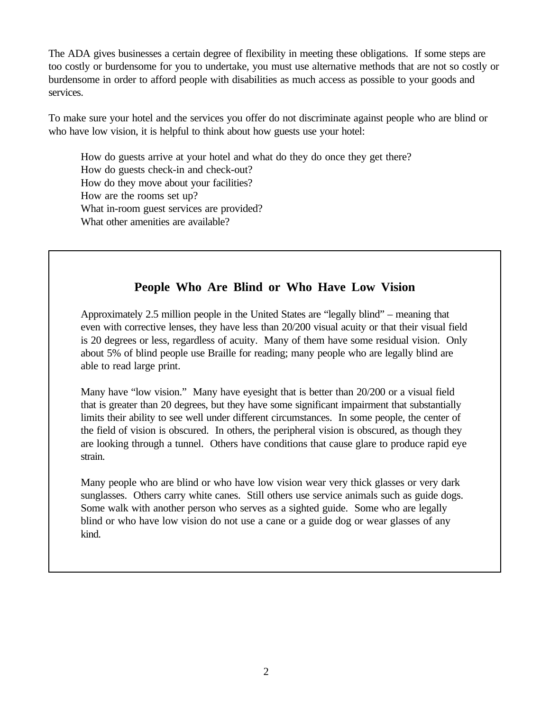The ADA gives businesses a certain degree of flexibility in meeting these obligations. If some steps are too costly or burdensome for you to undertake, you must use alternative methods that are not so costly or burdensome in order to afford people with disabilities as much access as possible to your goods and services.

To make sure your hotel and the services you offer do not discriminate against people who are blind or who have low vision, it is helpful to think about how guests use your hotel:

How do guests arrive at your hotel and what do they do once they get there? How do guests check-in and check-out? How do they move about your facilities? How are the rooms set up? What in-room guest services are provided? What other amenities are available?

## **People Who Are Blind or Who Have Low Vision**

Approximately 2.5 million people in the United States are "legally blind" – meaning that even with corrective lenses, they have less than 20/200 visual acuity or that their visual field is 20 degrees or less, regardless of acuity. Many of them have some residual vision. Only about 5% of blind people use Braille for reading; many people who are legally blind are able to read large print.

Many have "low vision." Many have eyesight that is better than 20/200 or a visual field that is greater than 20 degrees, but they have some significant impairment that substantially limits their ability to see well under different circumstances. In some people, the center of the field of vision is obscured. In others, the peripheral vision is obscured, as though they are looking through a tunnel. Others have conditions that cause glare to produce rapid eye strain.

Many people who are blind or who have low vision wear very thick glasses or very dark sunglasses. Others carry white canes. Still others use service animals such as guide dogs. Some walk with another person who serves as a sighted guide. Some who are legally blind or who have low vision do not use a cane or a guide dog or wear glasses of any kind.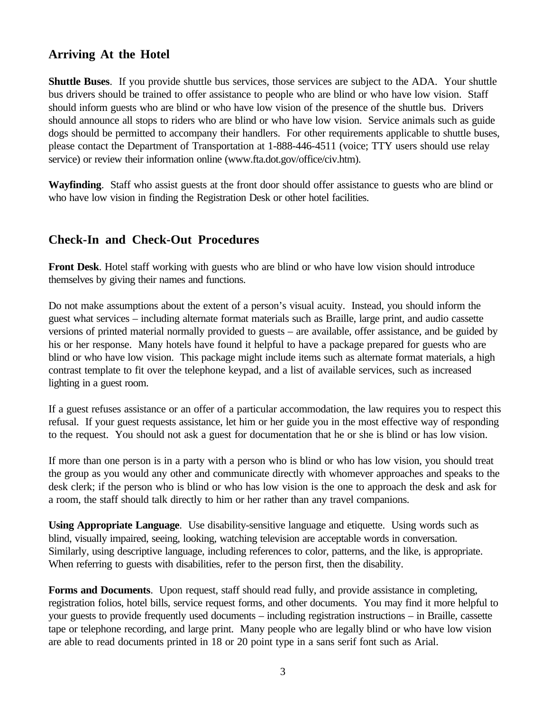#### **Arriving At the Hotel**

**Shuttle Buses**. If you provide shuttle bus services, those services are subject to the ADA. Your shuttle bus drivers should be trained to offer assistance to people who are blind or who have low vision. Staff should inform guests who are blind or who have low vision of the presence of the shuttle bus. Drivers should announce all stops to riders who are blind or who have low vision. Service animals such as guide dogs should be permitted to accompany their handlers. For other requirements applicable to shuttle buses, please contact the Department of Transportation at 1-888-446-4511 (voice; TTY users should use relay service) or review their information online (www.fta.dot.gov/office/civ.htm).

**Wayfinding**. Staff who assist guests at the front door should offer assistance to guests who are blind or who have low vision in finding the Registration Desk or other hotel facilities.

#### **Check-In and Check-Out Procedures**

**Front Desk**. Hotel staff working with guests who are blind or who have low vision should introduce themselves by giving their names and functions.

Do not make assumptions about the extent of a person's visual acuity. Instead, you should inform the guest what services – including alternate format materials such as Braille, large print, and audio cassette versions of printed material normally provided to guests – are available, offer assistance, and be guided by his or her response. Many hotels have found it helpful to have a package prepared for guests who are blind or who have low vision. This package might include items such as alternate format materials, a high contrast template to fit over the telephone keypad, and a list of available services, such as increased lighting in a guest room.

If a guest refuses assistance or an offer of a particular accommodation, the law requires you to respect this refusal. If your guest requests assistance, let him or her guide you in the most effective way of responding to the request. You should not ask a guest for documentation that he or she is blind or has low vision.

If more than one person is in a party with a person who is blind or who has low vision, you should treat the group as you would any other and communicate directly with whomever approaches and speaks to the desk clerk; if the person who is blind or who has low vision is the one to approach the desk and ask for a room, the staff should talk directly to him or her rather than any travel companions.

**Using Appropriate Language**. Use disability-sensitive language and etiquette. Using words such as blind, visually impaired, seeing, looking, watching television are acceptable words in conversation. Similarly, using descriptive language, including references to color, patterns, and the like, is appropriate. When referring to guests with disabilities, refer to the person first, then the disability.

**Forms and Documents**. Upon request, staff should read fully, and provide assistance in completing, registration folios, hotel bills, service request forms, and other documents. You may find it more helpful to your guests to provide frequently used documents – including registration instructions – in Braille, cassette tape or telephone recording, and large print. Many people who are legally blind or who have low vision are able to read documents printed in 18 or 20 point type in a sans serif font such as Arial.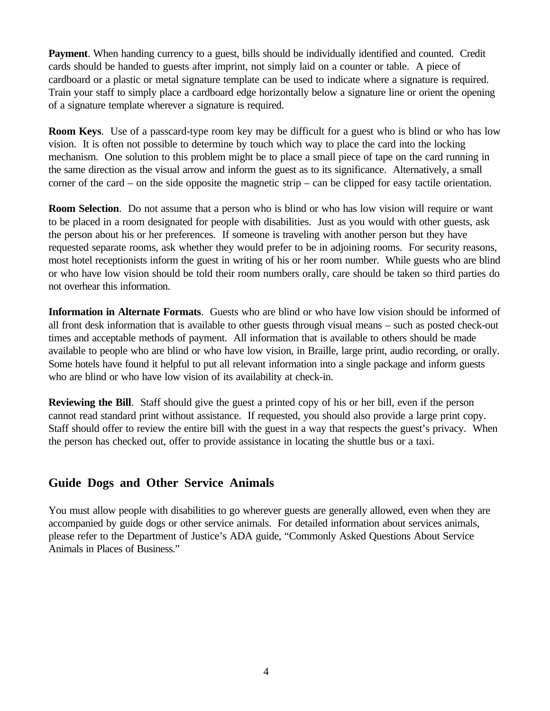**Payment**. When handing currency to a guest, bills should be individually identified and counted. Credit cards should be handed to guests after imprint, not simply laid on a counter or table. A piece of cardboard or a plastic or metal signature template can be used to indicate where a signature is required. Train your staff to simply place a cardboard edge horizontally below a signature line or orient the opening of a signature template wherever a signature is required.

**Room Keys**. Use of a passcard-type room key may be difficult for a guest who is blind or who has low vision. It is often not possible to determine by touch which way to place the card into the locking mechanism. One solution to this problem might be to place a small piece of tape on the card running in the same direction as the visual arrow and inform the guest as to its significance. Alternatively, a small corner of the card – on the side opposite the magnetic strip – can be clipped for easy tactile orientation.

**Room Selection**. Do not assume that a person who is blind or who has low vision will require or want to be placed in a room designated for people with disabilities. Just as you would with other guests, ask the person about his or her preferences. If someone is traveling with another person but they have requested separate rooms, ask whether they would prefer to be in adjoining rooms. For security reasons, most hotel receptionists inform the guest in writing of his or her room number. While guests who are blind or who have low vision should be told their room numbers orally, care should be taken so third parties do not overhear this information.

**Information in Alternate Formats**. Guests who are blind or who have low vision should be informed of all front desk information that is available to other guests through visual means – such as posted check-out times and acceptable methods of payment. All information that is available to others should be made available to people who are blind or who have low vision, in Braille, large print, audio recording, or orally. Some hotels have found it helpful to put all relevant information into a single package and inform guests who are blind or who have low vision of its availability at check-in.

**Reviewing the Bill**. Staff should give the guest a printed copy of his or her bill, even if the person cannot read standard print without assistance. If requested, you should also provide a large print copy. Staff should offer to review the entire bill with the guest in a way that respects the guest's privacy. When the person has checked out, offer to provide assistance in locating the shuttle bus or a taxi.

#### **Guide Dogs and Other Service Animals**

You must allow people with disabilities to go wherever guests are generally allowed, even when they are accompanied by guide dogs or other service animals. For detailed information about services animals, please refer to the Department of Justice's ADA guide, "Commonly Asked Questions About Service Animals in Places of Business."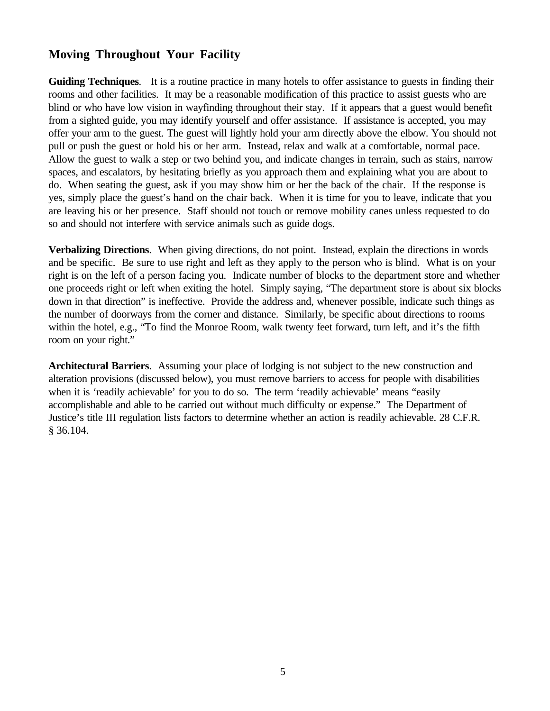#### **Moving Throughout Your Facility**

**Guiding Techniques**. It is a routine practice in many hotels to offer assistance to guests in finding their rooms and other facilities. It may be a reasonable modification of this practice to assist guests who are blind or who have low vision in wayfinding throughout their stay. If it appears that a guest would benefit from a sighted guide, you may identify yourself and offer assistance. If assistance is accepted, you may offer your arm to the guest. The guest will lightly hold your arm directly above the elbow. You should not pull or push the guest or hold his or her arm. Instead, relax and walk at a comfortable, normal pace. Allow the guest to walk a step or two behind you, and indicate changes in terrain, such as stairs, narrow spaces, and escalators, by hesitating briefly as you approach them and explaining what you are about to do. When seating the guest, ask if you may show him or her the back of the chair. If the response is yes, simply place the guest's hand on the chair back. When it is time for you to leave, indicate that you are leaving his or her presence. Staff should not touch or remove mobility canes unless requested to do so and should not interfere with service animals such as guide dogs.

**Verbalizing Directions**. When giving directions, do not point. Instead, explain the directions in words and be specific. Be sure to use right and left as they apply to the person who is blind. What is on your right is on the left of a person facing you. Indicate number of blocks to the department store and whether one proceeds right or left when exiting the hotel. Simply saying, "The department store is about six blocks down in that direction" is ineffective. Provide the address and, whenever possible, indicate such things as the number of doorways from the corner and distance. Similarly, be specific about directions to rooms within the hotel, e.g., "To find the Monroe Room, walk twenty feet forward, turn left, and it's the fifth room on your right."

**Architectural Barriers**. Assuming your place of lodging is not subject to the new construction and alteration provisions (discussed below), you must remove barriers to access for people with disabilities when it is 'readily achievable' for you to do so. The term 'readily achievable' means "easily accomplishable and able to be carried out without much difficulty or expense." The Department of Justice's title III regulation lists factors to determine whether an action is readily achievable. 28 C.F.R. § 36.104.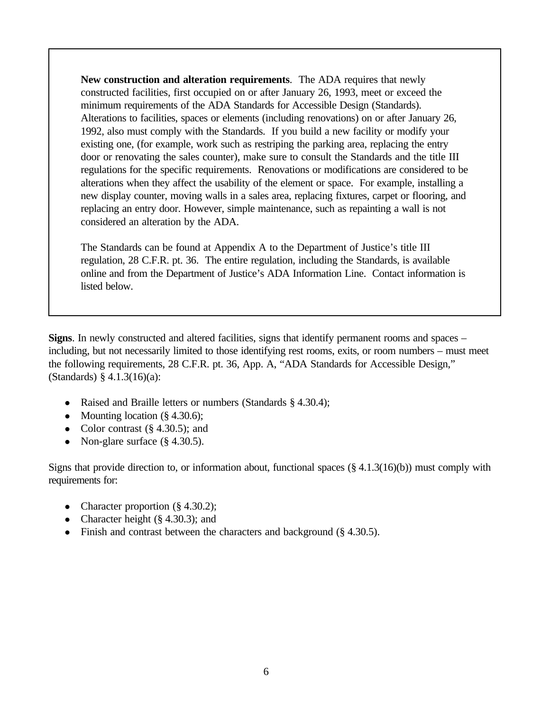**New construction and alteration requirements**. The ADA requires that newly constructed facilities, first occupied on or after January 26, 1993, meet or exceed the minimum requirements of the ADA Standards for Accessible Design (Standards). Alterations to facilities, spaces or elements (including renovations) on or after January 26, 1992, also must comply with the Standards. If you build a new facility or modify your existing one, (for example, work such as restriping the parking area, replacing the entry door or renovating the sales counter), make sure to consult the Standards and the title III regulations for the specific requirements. Renovations or modifications are considered to be alterations when they affect the usability of the element or space. For example, installing a new display counter, moving walls in a sales area, replacing fixtures, carpet or flooring, and replacing an entry door. However, simple maintenance, such as repainting a wall is not considered an alteration by the ADA.

The Standards can be found at Appendix A to the Department of Justice's title III regulation, 28 C.F.R. pt. 36. The entire regulation, including the Standards, is available online and from the Department of Justice's ADA Information Line. Contact information is listed below.

**Signs**. In newly constructed and altered facilities, signs that identify permanent rooms and spaces – including, but not necessarily limited to those identifying rest rooms, exits, or room numbers – must meet the following requirements, 28 C.F.R. pt. 36, App. A, "ADA Standards for Accessible Design," (Standards) § 4.1.3(16)(a):

- Raised and Braille letters or numbers (Standards § 4.30.4);
- Mounting location  $(\S 4.30.6)$ ;
- Color contrast  $(\S 4.30.5)$ ; and
- Non-glare surface  $(\S 4.30.5)$ .

Signs that provide direction to, or information about, functional spaces (§ 4.1.3(16)(b)) must comply with requirements for:

- Character proportion  $(\S 4.30.2)$ ;
- Character height  $(\S 4.30.3)$ ; and
- Finish and contrast between the characters and background (§ 4.30.5).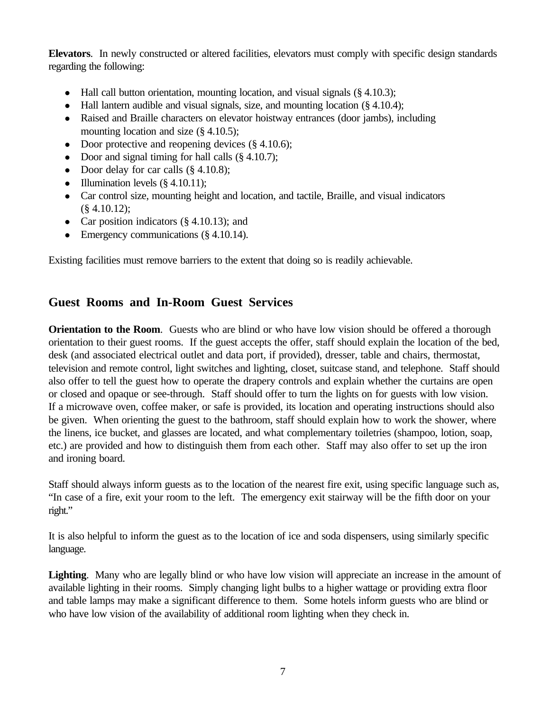**Elevators**. In newly constructed or altered facilities, elevators must comply with specific design standards regarding the following:

- Hall call button orientation, mounting location, and visual signals  $(\S 4.10.3)$ ;
- $\bullet$  Hall lantern audible and visual signals, size, and mounting location (§ 4.10.4);
- Raised and Braille characters on elevator hoistway entrances (door jambs), including mounting location and size (§ 4.10.5);
- Door protective and reopening devices  $(\S 4.10.6)$ ;
- Door and signal timing for hall calls  $(\S 4.10.7)$ ;
- Door delay for car calls  $(\S 4.10.8)$ ;
- Illumination levels  $(\S 4.10.11)$ ;
- Car control size, mounting height and location, and tactile, Braille, and visual indicators  $(\S$  4.10.12);
- Car position indicators  $(\S 4.10.13)$ ; and
- Emergency communications (§ 4.10.14).

Existing facilities must remove barriers to the extent that doing so is readily achievable.

## **Guest Rooms and In-Room Guest Services**

**Orientation to the Room.** Guests who are blind or who have low vision should be offered a thorough orientation to their guest rooms. If the guest accepts the offer, staff should explain the location of the bed, desk (and associated electrical outlet and data port, if provided), dresser, table and chairs, thermostat, television and remote control, light switches and lighting, closet, suitcase stand, and telephone. Staff should also offer to tell the guest how to operate the drapery controls and explain whether the curtains are open or closed and opaque or see-through. Staff should offer to turn the lights on for guests with low vision. If a microwave oven, coffee maker, or safe is provided, its location and operating instructions should also be given. When orienting the guest to the bathroom, staff should explain how to work the shower, where the linens, ice bucket, and glasses are located, and what complementary toiletries (shampoo, lotion, soap, etc.) are provided and how to distinguish them from each other. Staff may also offer to set up the iron and ironing board.

Staff should always inform guests as to the location of the nearest fire exit, using specific language such as, "In case of a fire, exit your room to the left. The emergency exit stairway will be the fifth door on your right."

It is also helpful to inform the guest as to the location of ice and soda dispensers, using similarly specific language.

Lighting. Many who are legally blind or who have low vision will appreciate an increase in the amount of available lighting in their rooms. Simply changing light bulbs to a higher wattage or providing extra floor and table lamps may make a significant difference to them. Some hotels inform guests who are blind or who have low vision of the availability of additional room lighting when they check in.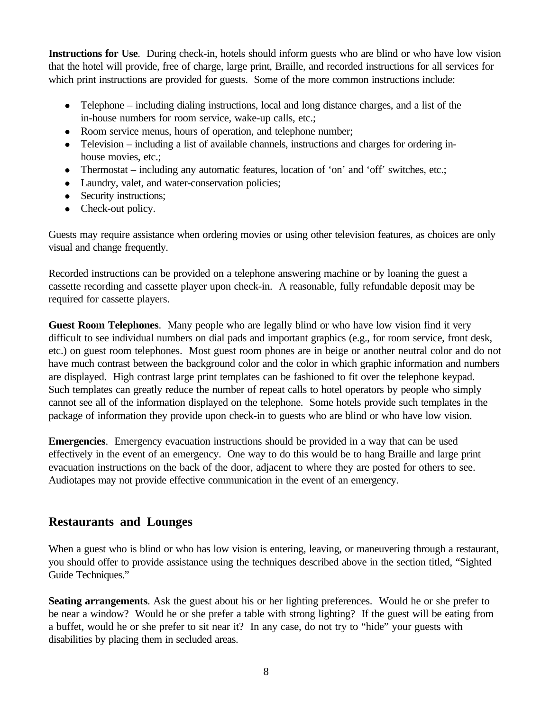**Instructions for Use**. During check-in, hotels should inform guests who are blind or who have low vision that the hotel will provide, free of charge, large print, Braille, and recorded instructions for all services for which print instructions are provided for guests. Some of the more common instructions include:

- Telephone including dialing instructions, local and long distance charges, and a list of the in-house numbers for room service, wake-up calls, etc.;
- Room service menus, hours of operation, and telephone number;
- Television including a list of available channels, instructions and charges for ordering inhouse movies, etc.;
- Thermostat including any automatic features, location of 'on' and 'off' switches, etc.;
- Laundry, valet, and water-conservation policies;
- Security instructions;
- Check-out policy.

Guests may require assistance when ordering movies or using other television features, as choices are only visual and change frequently.

Recorded instructions can be provided on a telephone answering machine or by loaning the guest a cassette recording and cassette player upon check-in. A reasonable, fully refundable deposit may be required for cassette players.

**Guest Room Telephones**. Many people who are legally blind or who have low vision find it very difficult to see individual numbers on dial pads and important graphics (e.g., for room service, front desk, etc.) on guest room telephones. Most guest room phones are in beige or another neutral color and do not have much contrast between the background color and the color in which graphic information and numbers are displayed. High contrast large print templates can be fashioned to fit over the telephone keypad. Such templates can greatly reduce the number of repeat calls to hotel operators by people who simply cannot see all of the information displayed on the telephone. Some hotels provide such templates in the package of information they provide upon check-in to guests who are blind or who have low vision.

**Emergencies**. Emergency evacuation instructions should be provided in a way that can be used effectively in the event of an emergency. One way to do this would be to hang Braille and large print evacuation instructions on the back of the door, adjacent to where they are posted for others to see. Audiotapes may not provide effective communication in the event of an emergency.

#### **Restaurants and Lounges**

When a guest who is blind or who has low vision is entering, leaving, or maneuvering through a restaurant, you should offer to provide assistance using the techniques described above in the section titled, "Sighted Guide Techniques."

**Seating arrangements**. Ask the guest about his or her lighting preferences. Would he or she prefer to be near a window? Would he or she prefer a table with strong lighting? If the guest will be eating from a buffet, would he or she prefer to sit near it? In any case, do not try to "hide" your guests with disabilities by placing them in secluded areas.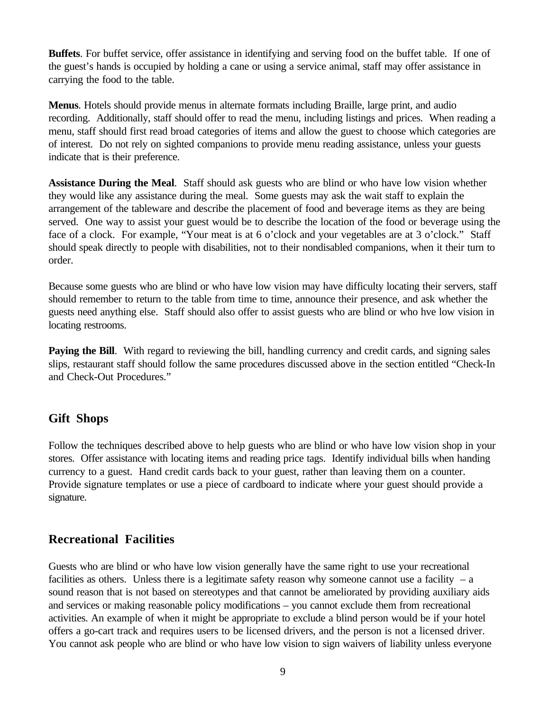**Buffets**. For buffet service, offer assistance in identifying and serving food on the buffet table. If one of the guest's hands is occupied by holding a cane or using a service animal, staff may offer assistance in carrying the food to the table.

**Menus**. Hotels should provide menus in alternate formats including Braille, large print, and audio recording. Additionally, staff should offer to read the menu, including listings and prices. When reading a menu, staff should first read broad categories of items and allow the guest to choose which categories are of interest. Do not rely on sighted companions to provide menu reading assistance, unless your guests indicate that is their preference.

**Assistance During the Meal**. Staff should ask guests who are blind or who have low vision whether they would like any assistance during the meal. Some guests may ask the wait staff to explain the arrangement of the tableware and describe the placement of food and beverage items as they are being served. One way to assist your guest would be to describe the location of the food or beverage using the face of a clock. For example, "Your meat is at 6 o'clock and your vegetables are at 3 o'clock." Staff should speak directly to people with disabilities, not to their nondisabled companions, when it their turn to order.

Because some guests who are blind or who have low vision may have difficulty locating their servers, staff should remember to return to the table from time to time, announce their presence, and ask whether the guests need anything else. Staff should also offer to assist guests who are blind or who hve low vision in locating restrooms.

**Paying the Bill.** With regard to reviewing the bill, handling currency and credit cards, and signing sales slips, restaurant staff should follow the same procedures discussed above in the section entitled "Check-In and Check-Out Procedures."

#### **Gift Shops**

Follow the techniques described above to help guests who are blind or who have low vision shop in your stores. Offer assistance with locating items and reading price tags. Identify individual bills when handing currency to a guest. Hand credit cards back to your guest, rather than leaving them on a counter. Provide signature templates or use a piece of cardboard to indicate where your guest should provide a signature.

#### **Recreational Facilities**

Guests who are blind or who have low vision generally have the same right to use your recreational facilities as others. Unless there is a legitimate safety reason why someone cannot use a facility  $-$  a sound reason that is not based on stereotypes and that cannot be ameliorated by providing auxiliary aids and services or making reasonable policy modifications – you cannot exclude them from recreational activities. An example of when it might be appropriate to exclude a blind person would be if your hotel offers a go-cart track and requires users to be licensed drivers, and the person is not a licensed driver. You cannot ask people who are blind or who have low vision to sign waivers of liability unless everyone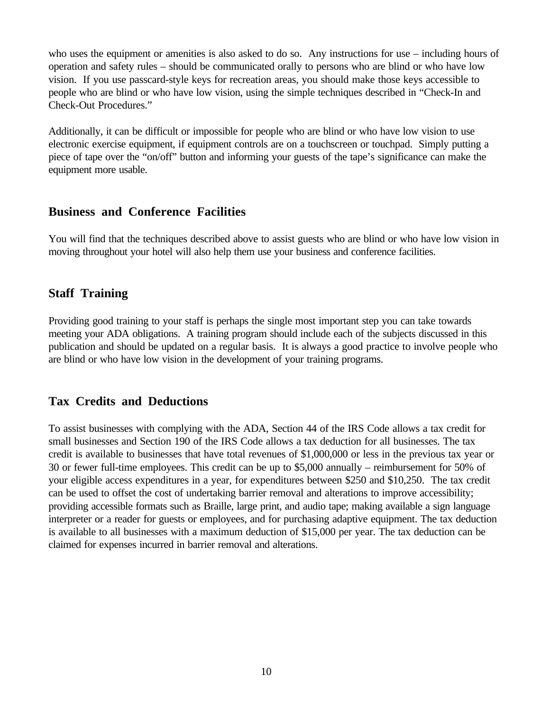who uses the equipment or amenities is also asked to do so. Any instructions for use – including hours of operation and safety rules – should be communicated orally to persons who are blind or who have low vision. If you use passcard-style keys for recreation areas, you should make those keys accessible to people who are blind or who have low vision, using the simple techniques described in "Check-In and Check-Out Procedures."

Additionally, it can be difficult or impossible for people who are blind or who have low vision to use electronic exercise equipment, if equipment controls are on a touchscreen or touchpad. Simply putting a piece of tape over the "on/off" button and informing your guests of the tape's significance can make the equipment more usable.

#### **Business and Conference Facilities**

You will find that the techniques described above to assist guests who are blind or who have low vision in moving throughout your hotel will also help them use your business and conference facilities.

#### **Staff Training**

Providing good training to your staff is perhaps the single most important step you can take towards meeting your ADA obligations. A training program should include each of the subjects discussed in this publication and should be updated on a regular basis. It is always a good practice to involve people who are blind or who have low vision in the development of your training programs.

#### **Tax Credits and Deductions**

To assist businesses with complying with the ADA, Section 44 of the IRS Code allows a tax credit for small businesses and Section 190 of the IRS Code allows a tax deduction for all businesses. The tax credit is available to businesses that have total revenues of \$1,000,000 or less in the previous tax year or 30 or fewer full-time employees. This credit can be up to \$5,000 annually – reimbursement for 50% of your eligible access expenditures in a year, for expenditures between \$250 and \$10,250. The tax credit can be used to offset the cost of undertaking barrier removal and alterations to improve accessibility; providing accessible formats such as Braille, large print, and audio tape; making available a sign language interpreter or a reader for guests or employees, and for purchasing adaptive equipment. The tax deduction is available to all businesses with a maximum deduction of \$15,000 per year. The tax deduction can be claimed for expenses incurred in barrier removal and alterations.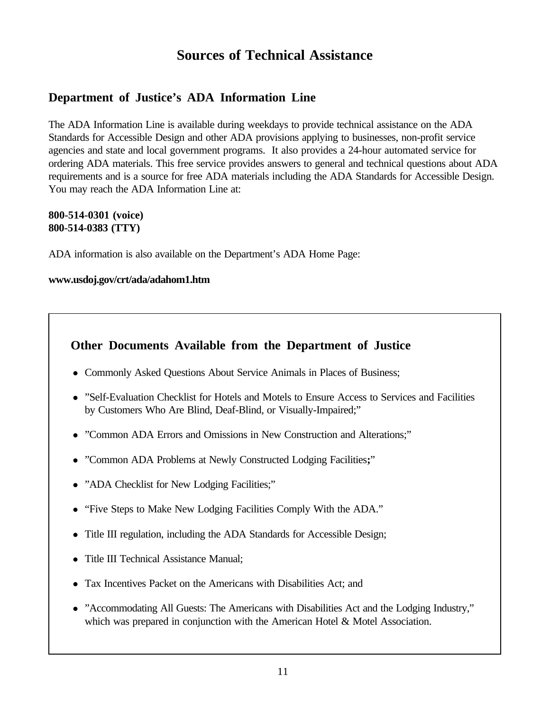## **Sources of Technical Assistance**

## **Department of Justice's ADA Information Line**

The ADA Information Line is available during weekdays to provide technical assistance on the ADA Standards for Accessible Design and other ADA provisions applying to businesses, non-profit service agencies and state and local government programs. It also provides a 24-hour automated service for ordering ADA materials. This free service provides answers to general and technical questions about ADA requirements and is a source for free ADA materials including the ADA Standards for Accessible Design. You may reach the ADA Information Line at:

#### **800-514-0301 (voice) 800-514-0383 (TTY)**

ADA information is also available on the Department's ADA Home Page:

#### **www.usdoj.gov/crt/ada/adahom1.htm**

#### **Other Documents Available from the Department of Justice**

- Commonly Asked Questions About Service Animals in Places of Business;
- "Self-Evaluation Checklist for Hotels and Motels to Ensure Access to Services and Facilities by Customers Who Are Blind, Deaf-Blind, or Visually-Impaired;"
- "Common ADA Errors and Omissions in New Construction and Alterations;"
- "Common ADA Problems at Newly Constructed Lodging Facilities**;**"
- "ADA Checklist for New Lodging Facilities;"
- "Five Steps to Make New Lodging Facilities Comply With the ADA."
- Title III regulation, including the ADA Standards for Accessible Design;
- Title III Technical Assistance Manual;
- Tax Incentives Packet on the Americans with Disabilities Act; and
- "Accommodating All Guests: The Americans with Disabilities Act and the Lodging Industry," which was prepared in conjunction with the American Hotel & Motel Association.